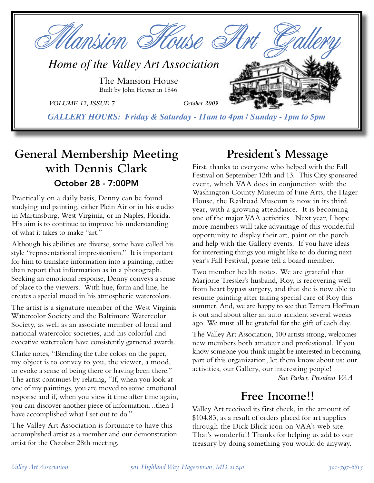

# **General Membership Meeting with Dennis Clark** October 28 - 7:00PM

Practically on a daily basis, Denny can be found studying and painting, either Plein Air or in his studio in Martinsburg, West Virginia, or in Naples, Florida. His aim is to continue to improve his understanding of what it takes to make "art."

Although his abilities are diverse, some have called his style "representational impressionism." It is important for him to translate information into a painting, rather than report that information as in a photograph. Seeking an emotional response, Denny conveys a sense of place to the viewers. With hue, form and line, he creates a special mood in his atmospheric watercolors.

The artist is a signature member of the West Virginia Watercolor Society and the Baltimore Watercolor Society, as well as an associate member of local and national watercolor societies, and his colorful and evocative watercolors have consistently garnered awards.

Clarke notes, "Blending the tube colors on the paper, my object is to convey to you, the viewer, a mood, to evoke a sense of being there or having been there." The artist continues by relating, "If, when you look at one of my paintings, you are moved to some emotional response and if, when you view it time after time again, you can discover another piece of information…then I have accomplished what I set out to do."

The Valley Art Association is fortunate to have this accomplished artist as a member and our demonstration artist for the October 28th meeting.

## **President's Message**

First, thanks to everyone who helped with the Fall Festival on September 12th and 13. This City sponsored event, which VAA does in conjunction with the Washington County Museum of Fine Arts, the Hager House, the Railroad Museum is now in its third year, with a growing attendance. It is becoming one of the major VAA activities. Next year, I hope more members will take advantage of this wonderful opportunity to display their art, paint on the porch and help with the Gallery events. If you have ideas for interesting things you might like to do during next year's Fall Festival, please tell a board member.

Two member health notes. We are grateful that Marjorie Tressler's husband, Roy, is recovering well from heart bypass surgery, and that she is now able to resume painting after taking special care of Roy this summer. And, we are happy to see that Tamara Hoffman is out and about after an auto accident several weeks ago. We must all be grateful for the gift of each day.

The Valley Art Association, 100 artists strong, welcomes new members both amateur and professional. If you know someone you think might be interested in becoming part of this organization, let them know about us: our activities, our Gallery, our interesting people!

*Sue Parker, President VAA*

## **Free Income!!**

Valley Art received its first check, in the amount of \$104.83, as a result of orders placed for art supplies through the Dick Blick icon on VAA's web site. That's wonderful! Thanks for helping us add to our treasury by doing something you would do anyway.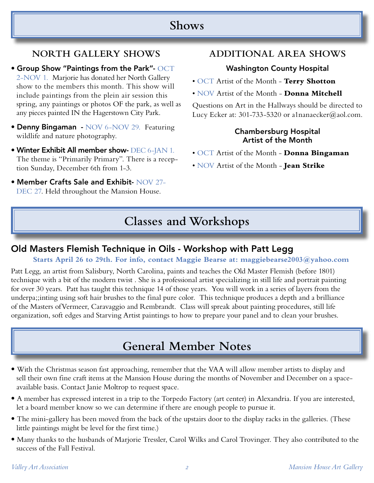## **Shows**

## **NORTH GALLERY SHOWS**

• Group Show "Paintings from the Park"- OCT 2-NOV 1. Marjorie has donated her North Gallery show to the members this month. This show will include paintings from the plein air session this spring, any paintings or photos OF the park, as well as any pieces painted IN the Hagerstown City Park.

- Denny Bingaman NOV 6-NOV 29. Featuring wildlife and nature photography.
- Winter Exhibit All member show- DEC 6-JAN 1. The theme is "Primarily Primary". There is a reception Sunday, December 6th from 1-3.
- Member Crafts Sale and Exhibit- NOV 27- DEC 27. Held throughout the Mansion House.

### **ADDITIONAL AREA SHOWS**

### Washington County Hospital

- OCT Artist of the Month **Terry Shotton**
- NOV Artist of the Month **Donna Mitchell**

Questions on Art in the Hallways should be directed to Lucy Ecker at: 301-733-5320 or a1nanaecker@aol.com.

#### Chambersburg Hospital Artist of the Month

- OCT Artist of the Month **Donna Bingaman**
- NOV Artist of the Month **Jean Strike**

# **Classes and Workshops**

### Old Masters Flemish Technique in Oils - Workshop with Patt Legg

#### **Starts April 26 to 29th. For info, contact Maggie Bearse at: maggiebearse2003@yahoo.com**

Patt Legg, an artist from Salisbury, North Carolina, paints and teaches the Old Master Flemish (before 1801) technique with a bit of the modern twist . She is a professional artist specializing in still life and portrait painting for over 30 years. Patt has taught this technique 14 of those years. You will work in a series of layers from the underpa;;inting using soft hair brushes to the final pure color. This technique produces a depth and a brilliance of the Masters ofVermeer, Caravaggio and Rembrandt. Class will spreak about painting procedures, still life organization, soft edges and Starving Artist paintings to how to prepare your panel and to clean your brushes.

# **General Member Notes**

- With the Christmas season fast approaching, remember that the VAA will allow member artists to display and sell their own fine craft items at the Mansion House during the months of November and December on a spaceavailable basis. Contact Janie Moltrop to request space.
- A member has expressed interest in a trip to the Torpedo Factory (art center) in Alexandria. If you are interested, let a board member know so we can determine if there are enough people to pursue it.
- The mini-gallery has been moved from the back of the upstairs door to the display racks in the galleries. (These little paintings might be level for the first time.)
- Many thanks to the husbands of Marjorie Tressler, Carol Wilks and Carol Trovinger. They also contributed to the success of the Fall Festival.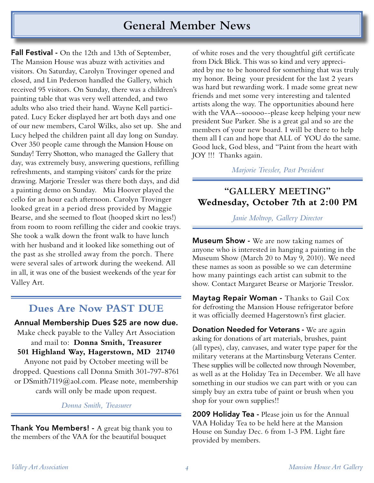## **General Member News**

**Fall Festival -** On the 12th and 13th of September, The Mansion House was abuzz with activities and visitors. On Saturday, Carolyn Trovinger opened and closed, and Lin Pederson handled the Gallery, which received 95 visitors. On Sunday, there was a children's painting table that was very well attended, and two adults who also tried their hand. Wayne Kell participated. Lucy Ecker displayed her art both days and one of our new members, Carol Wilks, also set up. She and Lucy helped the children paint all day long on Sunday. Over 350 people came through the Mansion House on Sunday! Terry Shotton, who managed the Gallery that day, was extremely busy, answering questions, refilling refreshments, and stamping visitors' cards for the prize drawing. Marjorie Tressler was there both days, and did a painting demo on Sunday. Mia Hoover played the cello for an hour each afternoon. Carolyn Trovinger looked great in a period dress provided by Maggie Bearse, and she seemed to float (hooped skirt no less!) from room to room refilling the cider and cookie trays. She took a walk down the front walk to have lunch with her husband and it looked like something out of the past as she strolled away from the porch. There were several sales of artwork during the weekend. All in all, it was one of the busiest weekends of the year for Valley Art.

## **Dues Are Now PAST DUE**

Annual Membership Dues \$25 are now due. Make check payable to the Valley Art Association and mail to: **Donna Smith, Treasurer 501 Highland Way, Hagerstown, MD 21740**

Anyone not paid by October meeting will be dropped. Questions call Donna Smith 301-797-8761 or DSmith7119@aol.com. Please note, membership cards will only be made upon request.

#### *Donna Smith, Treasurer*

**Thank You Members!** - A great big thank you to the members of the VAA for the beautiful bouquet

of white roses and the very thoughtful gift certificate from Dick Blick. This was so kind and very appreciated by me to be honored for something that was truly my honor. Being your president for the last 2 years was hard but rewarding work. I made some great new friends and met some very interesting and talented artists along the way. The opportunities abound here with the VAA--sooooo--please keep helping your new president Sue Parker. She is a great gal and so are the members of your new board. I will be there to help them all I can and hope that ALL of YOU do the same. Good luck, God bless, and "Paint from the heart with JOY !!! Thanks again.

#### *Marjorie Tressler, Past President*

### **"GALLERY MEETING" Wednesday, October 7th at 2:00 PM**

#### *Janie Moltrop, Gallery Director*

**Museum Show -** We are now taking names of anyone who is interested in hanging a painting in the Museum Show (March 20 to May 9, 2010). We need these names as soon as possible so we can determine how many paintings each artist can submit to the show. Contact Margaret Bearse or Marjorie Tresslor.

Maytag Repair Woman - Thanks to Gail Cox for defrosting the Mansion House refrigerator before it was officially deemed Hagerstown's first glacier.

**Donation Needed for Veterans - We are again** asking for donations of art materials, brushes, paint (all types), clay, canvases, and water type paper for the military veterans at the Martinsburg Veterans Center. These supplies will be collected now through November, as well as at the Holiday Tea in December. We all have something in our studios we can part with or you can simply buy an extra tube of paint or brush when you shop for your own supplies!!

2009 Holiday Tea - Please join us for the Annual VAA Holiday Tea to be held here at the Mansion House on Sunday Dec. 6 from 1-3 PM. Light fare provided by members.